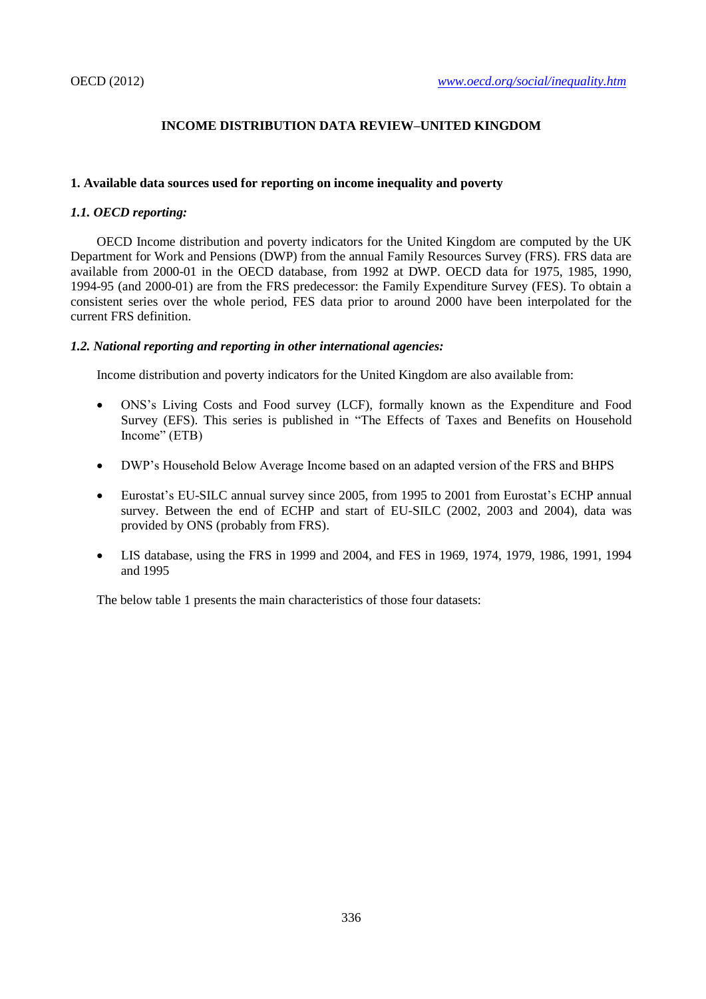# **INCOME DISTRIBUTION DATA REVIEW–UNITED KINGDOM**

# **1. Available data sources used for reporting on income inequality and poverty**

# *1.1. OECD reporting:*

OECD Income distribution and poverty indicators for the United Kingdom are computed by the UK Department for Work and Pensions (DWP) from the annual Family Resources Survey (FRS). FRS data are available from 2000-01 in the OECD database, from 1992 at DWP. OECD data for 1975, 1985, 1990, 1994-95 (and 2000-01) are from the FRS predecessor: the Family Expenditure Survey (FES). To obtain a consistent series over the whole period, FES data prior to around 2000 have been interpolated for the current FRS definition.

# *1.2. National reporting and reporting in other international agencies:*

Income distribution and poverty indicators for the United Kingdom are also available from:

- ONS's Living Costs and Food survey (LCF), formally known as the Expenditure and Food Survey (EFS). This series is published in "The Effects of Taxes and Benefits on Household Income" (ETB)
- DWP's Household Below Average Income based on an adapted version of the FRS and BHPS
- Eurostat's EU-SILC annual survey since 2005, from 1995 to 2001 from Eurostat's ECHP annual survey. Between the end of ECHP and start of EU-SILC (2002, 2003 and 2004), data was provided by ONS (probably from FRS).
- LIS database, using the FRS in 1999 and 2004, and FES in 1969, 1974, 1979, 1986, 1991, 1994 and 1995

The below table 1 presents the main characteristics of those four datasets: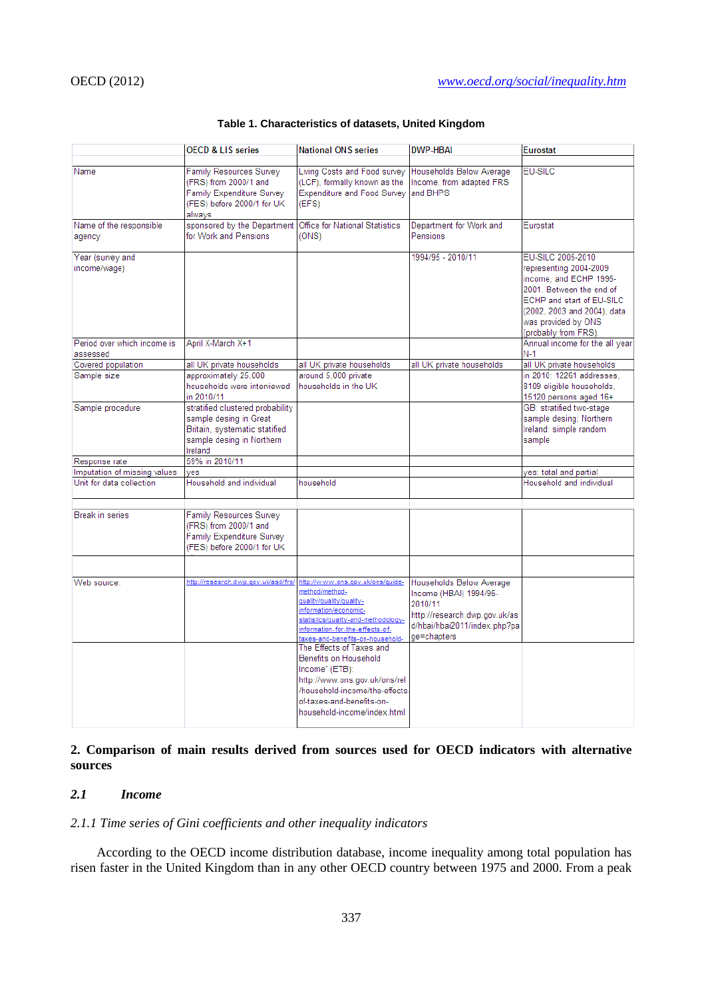| Family Resources Survey<br>(FRS) from 2000/1 and<br><b>Family Expenditure Survey</b> | Living Costs and Food survey                                                                                                                                                                                            | Households Below Average                                                                                          | <b>EU-SILC</b>                                                                                                                                                |
|--------------------------------------------------------------------------------------|-------------------------------------------------------------------------------------------------------------------------------------------------------------------------------------------------------------------------|-------------------------------------------------------------------------------------------------------------------|---------------------------------------------------------------------------------------------------------------------------------------------------------------|
|                                                                                      |                                                                                                                                                                                                                         |                                                                                                                   |                                                                                                                                                               |
| (FES) before 2000/1 for UK<br>alwavs                                                 | (LCF), formally known as the<br><b>Expenditure and Food Survey</b><br>(EFS)                                                                                                                                             | Income, from adapted FRS<br>and BHPS                                                                              |                                                                                                                                                               |
| sponsored by the Department                                                          | <b>Office for National Statistics</b>                                                                                                                                                                                   | Department for Work and                                                                                           | Eurostat                                                                                                                                                      |
| for Work and Pensions                                                                | (ONS)                                                                                                                                                                                                                   | Pensions                                                                                                          |                                                                                                                                                               |
|                                                                                      |                                                                                                                                                                                                                         | 1994/95 - 2010/11                                                                                                 | EU-SILC 2005-2010<br>representing 2004-2009                                                                                                                   |
|                                                                                      |                                                                                                                                                                                                                         |                                                                                                                   | income, and ECHP 1995-<br>2001. Between the end of<br>ECHP and start of EU-SILC<br>(2002, 2003 and 2004), data<br>was provided by ONS<br>(probably from FRS). |
| April X-March X+1                                                                    |                                                                                                                                                                                                                         |                                                                                                                   | Annual income for the all year                                                                                                                                |
|                                                                                      |                                                                                                                                                                                                                         |                                                                                                                   | $N-1$                                                                                                                                                         |
| all UK private households                                                            | all UK private households                                                                                                                                                                                               | all UK private households                                                                                         | all UK private households                                                                                                                                     |
| approximately 25,000                                                                 |                                                                                                                                                                                                                         |                                                                                                                   | in 2010: 12261 addresses.                                                                                                                                     |
| households were interviewed<br>in 2010/11                                            |                                                                                                                                                                                                                         |                                                                                                                   | 8109 eligible households,<br>15120 persons aged 16+                                                                                                           |
|                                                                                      |                                                                                                                                                                                                                         |                                                                                                                   | GB: stratified two-stage                                                                                                                                      |
| sample desing in Great                                                               |                                                                                                                                                                                                                         |                                                                                                                   | sample desing; Northern                                                                                                                                       |
|                                                                                      |                                                                                                                                                                                                                         |                                                                                                                   | Ireland: simple random                                                                                                                                        |
| Ireland                                                                              |                                                                                                                                                                                                                         |                                                                                                                   | sample                                                                                                                                                        |
|                                                                                      |                                                                                                                                                                                                                         |                                                                                                                   |                                                                                                                                                               |
| ves                                                                                  |                                                                                                                                                                                                                         |                                                                                                                   | yes: total and partial                                                                                                                                        |
| Household and individual                                                             | household                                                                                                                                                                                                               |                                                                                                                   | Household and individual                                                                                                                                      |
|                                                                                      |                                                                                                                                                                                                                         |                                                                                                                   |                                                                                                                                                               |
| (FRS) from 2000/1 and<br>Family Expenditure Survey                                   |                                                                                                                                                                                                                         |                                                                                                                   |                                                                                                                                                               |
|                                                                                      |                                                                                                                                                                                                                         |                                                                                                                   |                                                                                                                                                               |
|                                                                                      |                                                                                                                                                                                                                         |                                                                                                                   |                                                                                                                                                               |
|                                                                                      | method/method-<br>quality/quality/quality-<br>information/economic-<br>statistics/quality-and-methodology-<br>information-for-the-effects-of-<br>taxes-and-benefits-on-household-                                       | Income (HBAI) 1994/95-<br>2010/11<br>http://research.dwp.gov.uk/as<br>d/hbai/hbai2011/index.php?pa<br>ge=chapters |                                                                                                                                                               |
|                                                                                      | The Effects of Taxes and<br>Benefits on Household<br>Income" (ETB):<br>http://www.ons.gov.uk/ons/rel<br>of-taxes-and-benefits-on-<br>household-income/index.html                                                        |                                                                                                                   |                                                                                                                                                               |
|                                                                                      | stratified clustered probability<br>Britain, systematic statified<br>sample desing in Northern<br>59% in 2010/11<br><b>Family Resources Survey</b><br>(FES) before 2000/1 for UK<br>http://research.dwp.gov.uk/asd/frs/ | around 5,000 private<br>households in the UK<br>http://www.ons.gov.uk/ons/quide-                                  | Households Below Average<br>/household-income/the-effects-                                                                                                    |

## **Table 1. Characteristics of datasets, United Kingdom**

# **2. Comparison of main results derived from sources used for OECD indicators with alternative sources**

# *2.1 Income*

## *2.1.1 Time series of Gini coefficients and other inequality indicators*

According to the OECD income distribution database, income inequality among total population has risen faster in the United Kingdom than in any other OECD country between 1975 and 2000. From a peak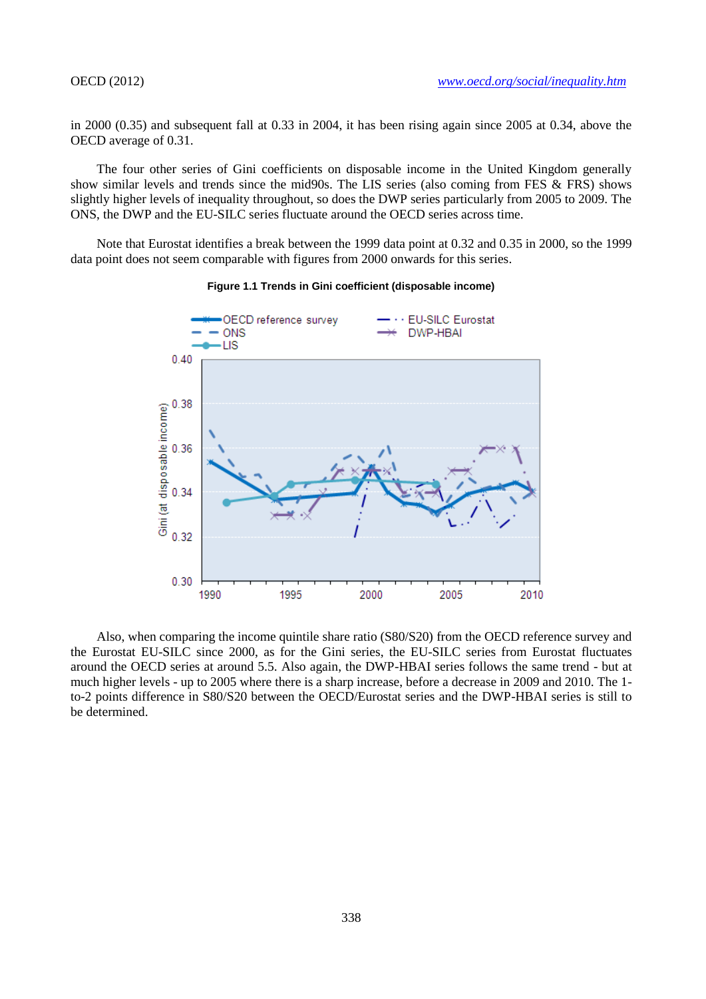in 2000 (0.35) and subsequent fall at 0.33 in 2004, it has been rising again since 2005 at 0.34, above the OECD average of 0.31.

The four other series of Gini coefficients on disposable income in the United Kingdom generally show similar levels and trends since the mid90s. The LIS series (also coming from FES & FRS) shows slightly higher levels of inequality throughout, so does the DWP series particularly from 2005 to 2009. The ONS, the DWP and the EU-SILC series fluctuate around the OECD series across time.

Note that Eurostat identifies a break between the 1999 data point at 0.32 and 0.35 in 2000, so the 1999 data point does not seem comparable with figures from 2000 onwards for this series.



#### **Figure 1.1 Trends in Gini coefficient (disposable income)**

Also, when comparing the income quintile share ratio (S80/S20) from the OECD reference survey and the Eurostat EU-SILC since 2000, as for the Gini series, the EU-SILC series from Eurostat fluctuates around the OECD series at around 5.5. Also again, the DWP-HBAI series follows the same trend - but at much higher levels - up to 2005 where there is a sharp increase, before a decrease in 2009 and 2010. The 1 to-2 points difference in S80/S20 between the OECD/Eurostat series and the DWP-HBAI series is still to be determined.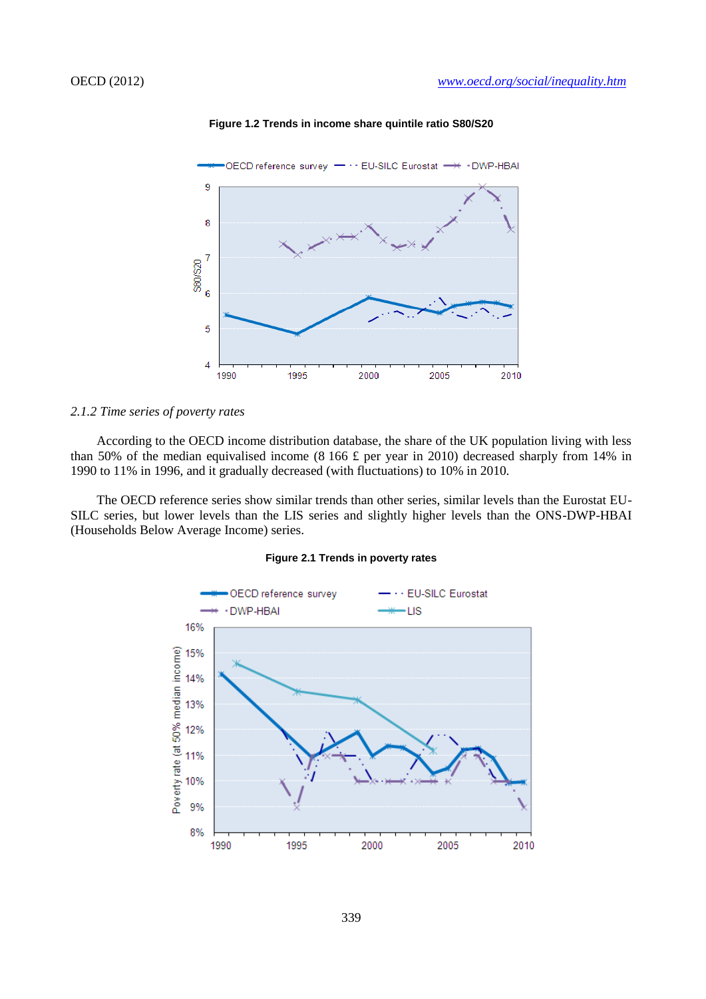

**Figure 1.2 Trends in income share quintile ratio S80/S20**

#### *2.1.2 Time series of poverty rates*

According to the OECD income distribution database, the share of the UK population living with less than 50% of the median equivalised income (8 166 £ per year in 2010) decreased sharply from 14% in 1990 to 11% in 1996, and it gradually decreased (with fluctuations) to 10% in 2010.

The OECD reference series show similar trends than other series, similar levels than the Eurostat EU-SILC series, but lower levels than the LIS series and slightly higher levels than the ONS-DWP-HBAI (Households Below Average Income) series.

#### **Figure 2.1 Trends in poverty rates**

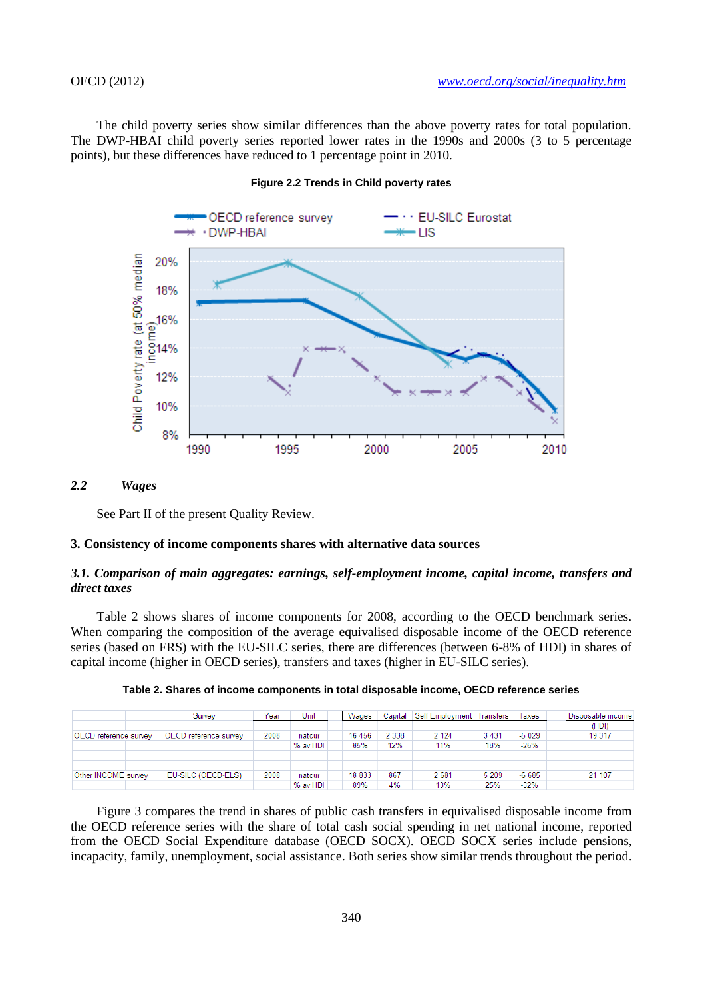The child poverty series show similar differences than the above poverty rates for total population. The DWP-HBAI child poverty series reported lower rates in the 1990s and 2000s (3 to 5 percentage points), but these differences have reduced to 1 percentage point in 2010.



#### **Figure 2.2 Trends in Child poverty rates**

### *2.2 Wages*

See Part II of the present Quality Review.

## **3. Consistency of income components shares with alternative data sources**

## *3.1. Comparison of main aggregates: earnings, self-employment income, capital income, transfers and direct taxes*

Table 2 shows shares of income components for 2008, according to the OECD benchmark series. When comparing the composition of the average equivalised disposable income of the OECD reference series (based on FRS) with the EU-SILC series, there are differences (between 6-8% of HDI) in shares of capital income (higher in OECD series), transfers and taxes (higher in EU-SILC series).

|                       |  | Survev                              | Year | Unit     | Wages   |         | Capital Self Employment   Transfers |       | Taxes   | Disposable income |
|-----------------------|--|-------------------------------------|------|----------|---------|---------|-------------------------------------|-------|---------|-------------------|
|                       |  |                                     |      |          |         |         |                                     |       |         | (HDI)             |
| OECD reference survey |  | (OECD reference survey <sup>+</sup> | 2008 | natcur   | 16 45 6 | 2 3 3 8 | 2 1 2 4                             | 3431  | $-5029$ | 19 317            |
|                       |  |                                     |      | % av HDI | 85%     | 12%     | 11%                                 | 18%   | $-26%$  |                   |
|                       |  |                                     |      |          |         |         |                                     |       |         |                   |
|                       |  |                                     |      |          |         |         |                                     |       |         |                   |
| Other INCOME survey   |  | EU-SILC (OECD-ELS)                  | 2008 | natcur   | 18 833  | 867     | 2681                                | 5 209 | $-6685$ | 21 107            |
|                       |  |                                     |      | % av HDI | 89%     | 4%      | 13%                                 | 25%   | $-32%$  |                   |

**Table 2. Shares of income components in total disposable income, OECD reference series**

Figure 3 compares the trend in shares of public cash transfers in equivalised disposable income from the OECD reference series with the share of total cash social spending in net national income, reported from the OECD Social Expenditure database (OECD SOCX). OECD SOCX series include pensions, incapacity, family, unemployment, social assistance. Both series show similar trends throughout the period.